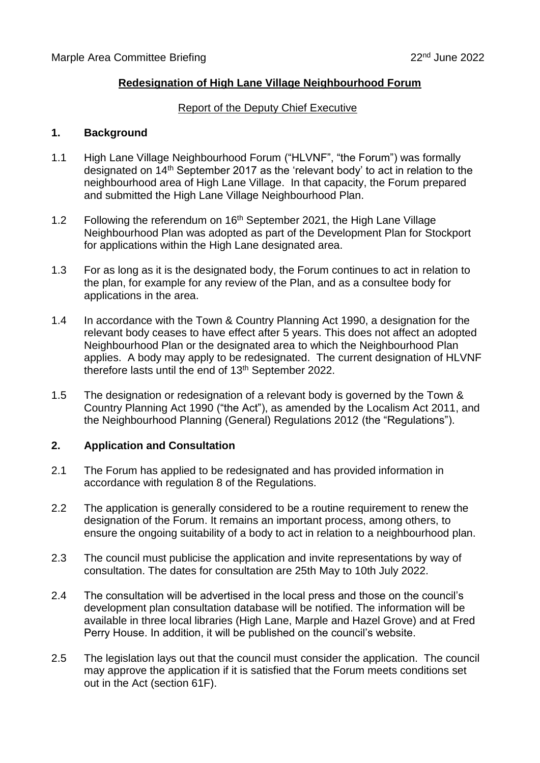## **Redesignation of High Lane Village Neighbourhood Forum**

#### Report of the Deputy Chief Executive

### **1. Background**

- 1.1 High Lane Village Neighbourhood Forum ("HLVNF", "the Forum") was formally designated on 14th September 2017 as the 'relevant body' to act in relation to the neighbourhood area of High Lane Village. In that capacity, the Forum prepared and submitted the High Lane Village Neighbourhood Plan.
- 1.2 Following the referendum on 16<sup>th</sup> September 2021, the High Lane Village Neighbourhood Plan was adopted as part of the Development Plan for Stockport for applications within the High Lane designated area.
- 1.3 For as long as it is the designated body, the Forum continues to act in relation to the plan, for example for any review of the Plan, and as a consultee body for applications in the area.
- 1.4 In accordance with the Town & Country Planning Act 1990, a designation for the relevant body ceases to have effect after 5 years. This does not affect an adopted Neighbourhood Plan or the designated area to which the Neighbourhood Plan applies. A body may apply to be redesignated. The current designation of HLVNF therefore lasts until the end of 13th September 2022.
- 1.5 The designation or redesignation of a relevant body is governed by the Town & Country Planning Act 1990 ("the Act"), as amended by the Localism Act 2011, and the Neighbourhood Planning (General) Regulations 2012 (the "Regulations").

### **2. Application and Consultation**

- 2.1 The Forum has applied to be redesignated and has provided information in accordance with regulation 8 of the Regulations.
- 2.2 The application is generally considered to be a routine requirement to renew the designation of the Forum. It remains an important process, among others, to ensure the ongoing suitability of a body to act in relation to a neighbourhood plan.
- 2.3 The council must publicise the application and invite representations by way of consultation. The dates for consultation are 25th May to 10th July 2022.
- 2.4 The consultation will be advertised in the local press and those on the council's development plan consultation database will be notified. The information will be available in three local libraries (High Lane, Marple and Hazel Grove) and at Fred Perry House. In addition, it will be published on the council's website.
- 2.5 The legislation lays out that the council must consider the application. The council may approve the application if it is satisfied that the Forum meets conditions set out in the Act (section 61F).